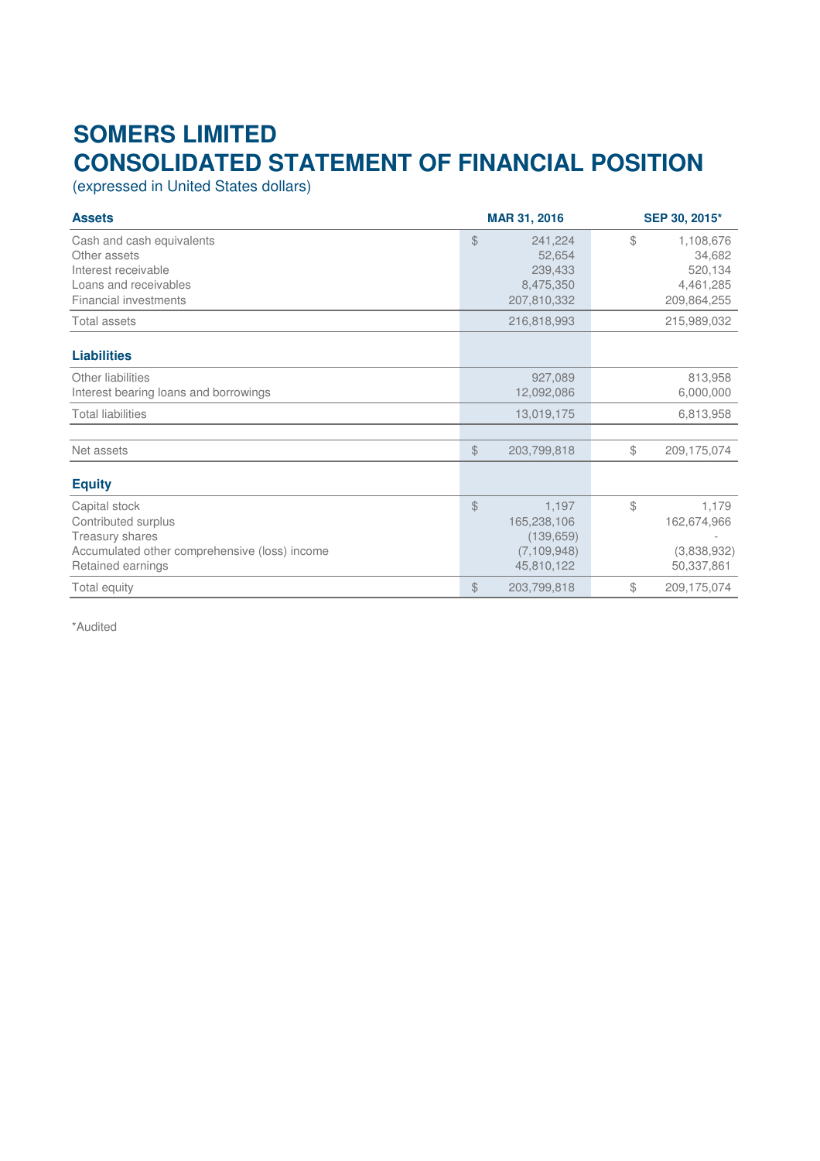## **SOMERS LIMITED CONSOLIDATED STATEMENT OF FINANCIAL POSITION**

(expressed in United States dollars)

| <b>Assets</b>                                                                                                                 | MAR 31, 2016                                                                       | SEP 30, 2015*                                                    |
|-------------------------------------------------------------------------------------------------------------------------------|------------------------------------------------------------------------------------|------------------------------------------------------------------|
| Cash and cash equivalents<br>Other assets<br>Interest receivable<br>Loans and receivables<br><b>Financial investments</b>     | $$\mathbb{S}$$<br>241,224<br>52,654<br>239,433<br>8,475,350<br>207,810,332         | \$<br>1,108,676<br>34,682<br>520,134<br>4,461,285<br>209,864,255 |
| Total assets                                                                                                                  | 216,818,993                                                                        | 215,989,032                                                      |
| <b>Liabilities</b>                                                                                                            |                                                                                    |                                                                  |
| Other liabilities<br>Interest bearing loans and borrowings                                                                    | 927,089<br>12,092,086                                                              | 813,958<br>6,000,000                                             |
| <b>Total liabilities</b>                                                                                                      | 13,019,175                                                                         | 6,813,958                                                        |
| Net assets                                                                                                                    | $$\$<br>203,799,818                                                                | \$<br>209,175,074                                                |
| <b>Equity</b>                                                                                                                 |                                                                                    |                                                                  |
| Capital stock<br>Contributed surplus<br>Treasury shares<br>Accumulated other comprehensive (loss) income<br>Retained earnings | $\mathcal{L}$<br>1,197<br>165,238,106<br>(139, 659)<br>(7, 109, 948)<br>45,810,122 | \$<br>1,179<br>162,674,966<br>(3,838,932)<br>50,337,861          |
| Total equity                                                                                                                  | $$\mathbb{S}$$<br>203,799,818                                                      | \$<br>209,175,074                                                |

\*Audited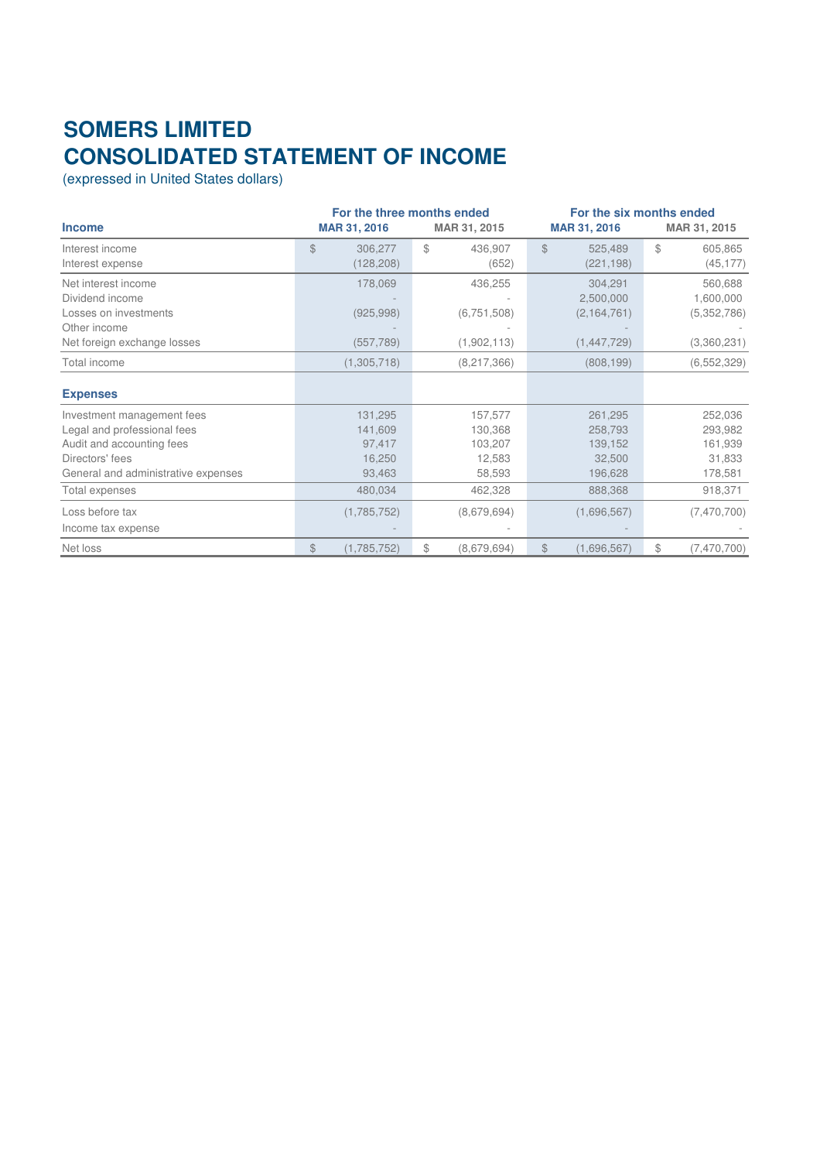## **SOMERS LIMITED CONSOLIDATED STATEMENT OF INCOME**

(expressed in United States dollars)

|                                     | For the three months ended    |                         |                         | For the six months ended  |  |  |  |
|-------------------------------------|-------------------------------|-------------------------|-------------------------|---------------------------|--|--|--|
| <b>Income</b>                       | MAR 31, 2016                  | MAR 31, 2015            | <b>MAR 31, 2016</b>     | MAR 31, 2015              |  |  |  |
| Interest income                     | $\mathcal{L}$<br>306,277      | $\mathbb{S}$<br>436,907 | $\mathbb{S}$<br>525,489 | $$\mathbb{S}$$<br>605,865 |  |  |  |
| Interest expense                    | (128,208)                     | (652)                   | (221, 198)              | (45, 177)                 |  |  |  |
| Net interest income                 | 178,069                       | 436,255                 | 304,291                 | 560,688                   |  |  |  |
| Dividend income                     |                               |                         | 2,500,000               | 1,600,000                 |  |  |  |
| Losses on investments               | (925, 998)                    | (6, 751, 508)           | (2, 164, 761)           | (5,352,786)               |  |  |  |
| Other income                        |                               |                         |                         |                           |  |  |  |
| Net foreign exchange losses         | (557, 789)                    | (1,902,113)             | (1,447,729)             | (3,360,231)               |  |  |  |
| Total income                        | (1,305,718)                   | (8,217,366)             | (808, 199)              | (6,552,329)               |  |  |  |
| <b>Expenses</b>                     |                               |                         |                         |                           |  |  |  |
| Investment management fees          | 131,295                       | 157,577                 | 261,295                 | 252,036                   |  |  |  |
| Legal and professional fees         | 141,609                       | 130,368                 | 258,793                 | 293,982                   |  |  |  |
| Audit and accounting fees           | 97,417                        | 103,207                 | 139,152                 | 161,939                   |  |  |  |
| Directors' fees                     | 16,250                        | 12,583                  | 32,500                  | 31,833                    |  |  |  |
| General and administrative expenses | 93,463                        | 58,593                  | 196,628                 | 178,581                   |  |  |  |
| Total expenses                      | 480,034                       | 462,328                 | 888,368                 | 918,371                   |  |  |  |
| Loss before tax                     | (1,785,752)                   | (8,679,694)             | (1,696,567)             | (7,470,700)               |  |  |  |
| Income tax expense                  |                               |                         |                         |                           |  |  |  |
| Net loss                            | $$\mathbb{S}$$<br>(1,785,752) | \$<br>(8,679,694)       | \$<br>(1,696,567)       | $$\$<br>(7,470,700)       |  |  |  |